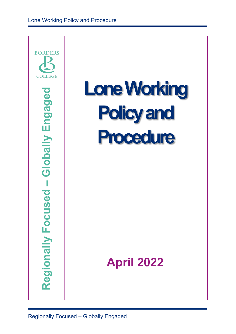

# **Lone Working Policy and Procedure**

## **April 2022**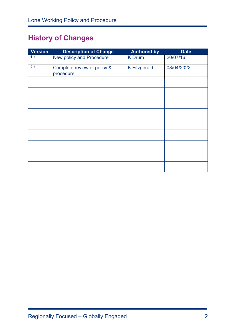## **History of Changes**

| <b>Version</b> | <b>Description of Change</b>             | <b>Authored by</b>  | <b>Date</b> |
|----------------|------------------------------------------|---------------------|-------------|
| 1.1            | New policy and Procedure                 | <b>K</b> Drum       | 20/07/16    |
| 2.1            | Complete review of policy &<br>procedure | <b>K Fitzgerald</b> | 08/04/2022  |
|                |                                          |                     |             |
|                |                                          |                     |             |
|                |                                          |                     |             |
|                |                                          |                     |             |
|                |                                          |                     |             |
|                |                                          |                     |             |
|                |                                          |                     |             |
|                |                                          |                     |             |
|                |                                          |                     |             |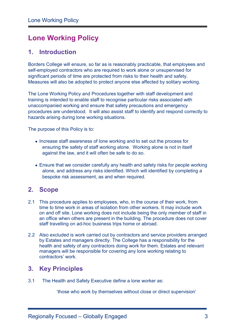## **Lone Working Policy**

## **1. Introduction**

Borders College will ensure, so far as is reasonably practicable, that employees and self-employed contractors who are required to work alone or unsupervised for significant periods of time are protected from risks to their health and safety. Measures will also be adopted to protect anyone else affected by solitary working.

The Lone Working Policy and Procedures together with staff development and training is intended to enable staff to recognise particular risks associated with unaccompanied working and ensure that safety precautions and emergency procedures are understood. It will also assist staff to identify and respond correctly to hazards arising during lone working situations.

The purpose of this Policy is to:

- Increase staff awareness of lone working and to set out the process for ensuring the safety of staff working alone.Working alone is not in itself against the law, and it will often be safe to do so.
- Ensure that we consider carefully any health and safety risks for people working alone, and address any risks identified. Which will identified by completing a bespoke risk assessment, as and when required.

### **2. Scope**

- 2.1 This procedure applies to employees, who, in the course of their work, from time to time work in areas of isolation from other workers. It may include work on and off site. Lone working does not include being the only member of staff in an office when others are present in the building. The procedure does not cover staff travelling on ad-hoc business trips home or abroad.
- 2.2 Also excluded is work carried out by contractors and service providers arranged by Estates and managers directly. The College has a responsibility for the health and safety of any contractors doing work for them. Estates and relevant managers will be responsible for covering any lone working relating to contractors' work.

## **3. Key Principles**

3.1 The Health and Safety Executive define a lone worker as:

'those who work by themselves without close or direct supervision'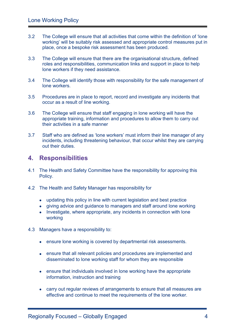- 3.2 The College will ensure that all activities that come within the definition of 'lone working' will be suitably risk assessed and appropriate control measures put in place, once a bespoke risk assessment has been produced.
- 3.3 The College will ensure that there are the organisational structure, defined roles and responsibilities, communication links and support in place to help lone workers if they need assistance.
- 3.4 The College will identify those with responsibility for the safe management of lone workers.
- 3.5 Procedures are in place to report, record and investigate any incidents that occur as a result of line working.
- 3.6 The College will ensure that staff engaging in lone working will have the appropriate training, information and procedures to allow them to carry out their activities in a safe manner
- 3.7 Staff who are defined as 'lone workers' must inform their line manager of any incidents, including threatening behaviour, that occur whilst they are carrying out their duties.

#### **4. Responsibilities**

- 4.1 The Health and Safety Committee have the responsibility for approving this Policy.
- 4.2 The Health and Safety Manager has responsibility for
	- updating this policy in line with current legislation and best practice
	- giving advice and guidance to managers and staff around lone working
	- Investigate, where appropriate, any incidents in connection with lone working
- 4.3 Managers have a responsibility to:
	- ensure lone working is covered by departmental risk assessments.
	- ensure that all relevant policies and procedures are implemented and disseminated to lone working staff for whom they are responsible
	- ensure that individuals involved in lone working have the appropriate information, instruction and training
	- carry out regular reviews of arrangements to ensure that all measures are effective and continue to meet the requirements of the lone worker.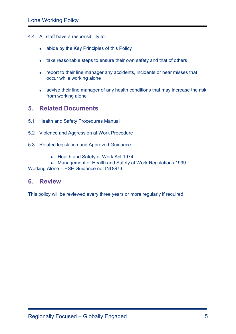- 4.4 All staff have a responsibility to:
	- abide by the Key Principles of this Policy
	- take reasonable steps to ensure their own safety and that of others
	- report to their line manager any accidents, incidents or near misses that occur while working alone
	- advise their line manager of any health conditions that may increase the risk from working alone

#### **5. Related Documents**

- 5.1 Health and Safety Procedures Manual
- 5.2 Violence and Aggression at Work Procedure
- 5.3 Related legislation and Approved Guidance
	- Health and Safety at Work Act 1974
	- Management of Health and Safety at Work Regulations 1999

Working Alone – HSE Guidance not INDG73

#### **6. Review**

This policy will be reviewed every three years or more regularly if required.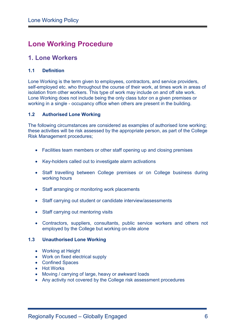## **Lone Working Procedure**

## **1. Lone Workers**

#### **1.1 Definition**

Lone Working is the term given to employees, contractors, and service providers, self-employed etc. who throughout the course of their work, at times work in areas of isolation from other workers. This type of work may include on and off site work. Lone Working does not include being the only class tutor on a given premises or working in a single - occupancy office when others are present in the building.

#### **1.2 Authorised Lone Working**

The following circumstances are considered as examples of authorised lone working; these activities will be risk assessed by the appropriate person, as part of the College Risk Management procedures;

- Facilities team members or other staff opening up and closing premises
- Key-holders called out to investigate alarm activations
- Staff travelling between College premises or on College business during working hours
- Staff arranging or monitoring work placements
- Staff carrying out student or candidate interview/assessments
- Staff carrying out mentoring visits
- Contractors, suppliers, consultants, public service workers and others not employed by the College but working on-site alone

#### **1.3 Unauthorised Lone Working**

- Working at Height
- Work on fixed electrical supply
- Confined Spaces
- Hot Works
- Moving / carrying of large, heavy or awkward loads
- Any activity not covered by the College risk assessment procedures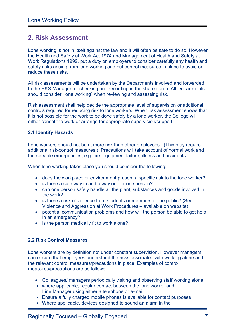## **2. Risk Assessment**

Lone working is not in itself against the law and it will often be safe to do so. However the Health and Safety at Work Act 1974 and Management of Health and Safety at Work Regulations 1999, put a duty on employers to consider carefully any health and safety risks arising from lone working and put control measures in place to avoid or reduce these risks.

All risk assessments will be undertaken by the Departments involved and forwarded to the H&S Manager for checking and recording in the shared area. All Departments should consider "lone working" when reviewing and assessing risk.

Risk assessment shall help decide the appropriate level of supervision or additional controls required for reducing risk to lone workers. When risk assessment shows that it is not possible for the work to be done safely by a lone worker, the College will either cancel the work or arrange for appropriate supervision/support.

#### **2.1 Identify Hazards**

Lone workers should not be at more risk than other employees. (This may require additional risk-control measures.) Precautions will take account of normal work and foreseeable emergencies, e.g. fire, equipment failure, illness and accidents.

When lone working takes place you should consider the following:

- does the workplace or environment present a specific risk to the lone worker?
- is there a safe way in and a way out for one person?
- can one person safely handle all the plant, substances and goods involved in the work?
- is there a risk of violence from students or members of the public? (See Violence and Aggression at Work Procedures – available on website)
- potential communication problems and how will the person be able to get help in an emergency?
- is the person medically fit to work alone?

#### **2.2 Risk Control Measures**

Lone workers are by definition not under constant supervision. However managers can ensure that employees understand the risks associated with working alone and the relevant control measures/precautions in place. Examples of control measures/precautions are as follows:

- Colleagues/ managers periodically visiting and observing staff working alone;
- where applicable, regular contact between the lone worker and Line Manager using either a telephone or e-mail;
- Ensure a fully charged mobile phones is available for contact purposes
- Where applicable, devices designed to sound an alarm in the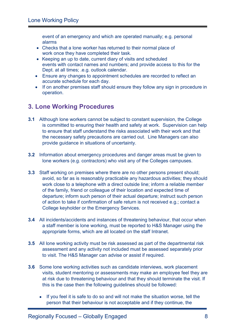event of an emergency and which are operated manually; e.g. personal alarms

- Checks that a lone worker has returned to their normal place of work once they have completed their task.
- Keeping an up to date, current diary of visits and scheduled events with contact names and numbers; and provide access to this for the Dept. at all times; .e.g. outlook calendar.
- Ensure any changes to appointment schedules are recorded to reflect an accurate schedule for each day.
- If on another premises staff should ensure they follow any sign in procedure in operation.

## **3. Lone Working Procedures**

- **3.1** Although lone workers cannot be subject to constant supervision, the College is committed to ensuring their health and safety at work. Supervision can help to ensure that staff understand the risks associated with their work and that the necessary safety precautions are carried out. Line Managers can also provide guidance in situations of uncertainty.
- **3.2** Information about emergency procedures and danger areas must be given to lone workers (e.g. contractors) who visit any of the Colleges campuses.
- **3.3** Staff working on premises where there are no other persons present should; avoid, so far as is reasonably practicable any hazardous activities; they should work close to a telephone with a direct outside line; inform a reliable member of the family, friend or colleague of their location and expected time of departure; inform such person of their actual departure; instruct such person of action to take if confirmation of safe return is not received e.g.; contact a College keyholder or the Emergency Services.
- **3.4** All incidents/accidents and instances of threatening behaviour, that occur when a staff member is lone working, must be reported to H&S Manager using the appropriate forms, which are all located on the staff Intranet.
- **3.5** All lone working activity must be risk assessed as part of the departmental risk assessment and any activity not included must be assessed separately prior to visit. The H&S Manager can advise or assist if required.
- **3.6** Some lone working activities such as candidate interviews, work placement visits, student mentoring or assessments may make an employee feel they are at risk due to threatening behaviour and that they should terminate the visit. If this is the case then the following guidelines should be followed:
	- If you feel it is safe to do so and will not make the situation worse, tell the person that their behaviour is not acceptable and if they continue, the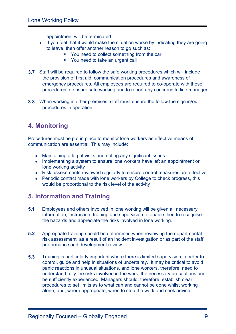appointment will be terminated

- If you feel that it would make the situation worse by indicating they are going to leave, then offer another reason to go such as:
	- You need to collect something from the car
	- **You need to take an urgent call**
- **3.7** Staff will be required to follow the safe working procedures which will include the provision of first aid, communication procedures and awareness of emergency procedures. All employees are required to co-operate with these procedures to ensure safe working and to report any concerns to line manager
- **3.8** When working in other premises, staff must ensure the follow the sign in/out procedures in operation

## **4. Monitoring**

Procedures must be put in place to monitor lone workers as effective means of communication are essential. This may include:

- Maintaining a log of visits and noting any significant issues
- Implementing a system to ensure lone workers have left an appointment or lone working activity
- Risk assessments reviewed regularly to ensure control measures are effective
- Periodic contact made with lone workers by College to check progress, this would be proportional to the risk level of the activity

## **5. Information and Training**

- **5.1** Employees and others involved in lone working will be given all necessary information, instruction, training and supervision to enable then to recognise the hazards and appreciate the risks involved in lone working.
- **5.2** Appropriate training should be determined when reviewing the departmental risk assessment, as a result of an incident investigation or as part of the staff performance and development review
- **5.3** Training is particularly important where there is limited supervision in order to control, guide and help in situations of uncertainty. It may be critical to avoid panic reactions in unusual situations, and lone workers, therefore, need to understand fully the risks involved in the work, the necessary precautions and be sufficiently experienced. Managers should, therefore, establish clear procedures to set limits as to what can and cannot be done whilst working alone, and, where appropriate, when to stop the work and seek advice.